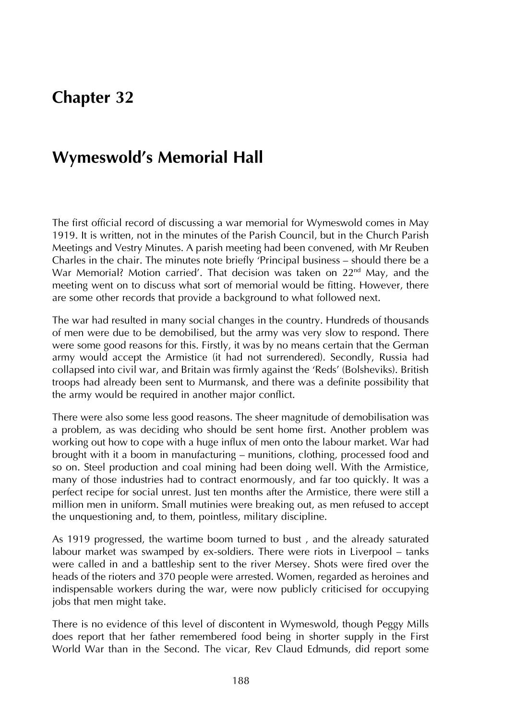# **Chapter 32**

# **Wymeswold's Memorial Hall**

The first official record of discussing a war memorial for Wymeswold comes in May 1919. It is written, not in the minutes of the Parish Council, but in the Church Parish Meetings and Vestry Minutes. A parish meeting had been convened, with Mr Reuben Charles in the chair. The minutes note briefly 'Principal business – should there be a War Memorial? Motion carried'. That decision was taken on 22<sup>nd</sup> May, and the meeting went on to discuss what sort of memorial would be fitting. However, there are some other records that provide a background to what followed next.

The war had resulted in many social changes in the country. Hundreds of thousands of men were due to be demobilised, but the army was very slow to respond. There were some good reasons for this. Firstly, it was by no means certain that the German army would accept the Armistice (it had not surrendered). Secondly, Russia had collapsed into civil war, and Britain was firmly against the 'Reds' (Bolsheviks). British troops had already been sent to Murmansk, and there was a definite possibility that the army would be required in another major conflict.

There were also some less good reasons. The sheer magnitude of demobilisation was a problem, as was deciding who should be sent home first. Another problem was working out how to cope with a huge influx of men onto the labour market. War had brought with it a boom in manufacturing – munitions, clothing, processed food and so on. Steel production and coal mining had been doing well. With the Armistice, many of those industries had to contract enormously, and far too quickly. It was a perfect recipe for social unrest. Just ten months after the Armistice, there were still a million men in uniform. Small mutinies were breaking out, as men refused to accept the unquestioning and, to them, pointless, military discipline.

As 1919 progressed, the wartime boom turned to bust , and the already saturated labour market was swamped by ex-soldiers. There were riots in Liverpool – tanks were called in and a battleship sent to the river Mersey. Shots were fired over the heads of the rioters and 370 people were arrested. Women, regarded as heroines and indispensable workers during the war, were now publicly criticised for occupying jobs that men might take.

There is no evidence of this level of discontent in Wymeswold, though Peggy Mills does report that her father remembered food being in shorter supply in the First World War than in the Second. The vicar, Rev Claud Edmunds, did report some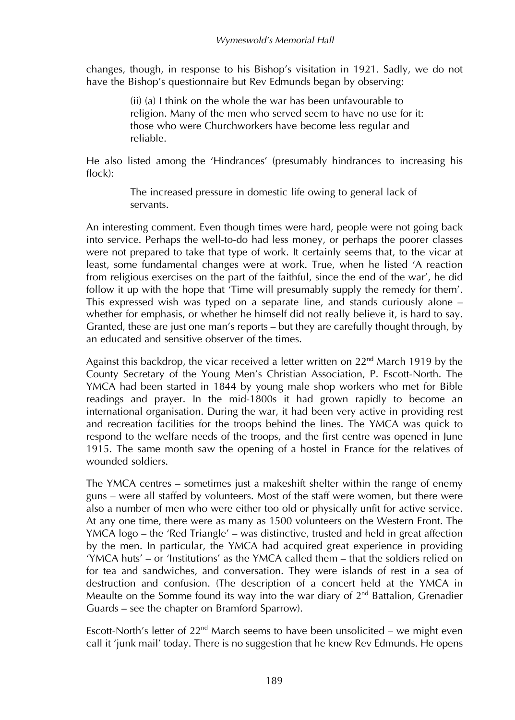changes, though, in response to his Bishop's visitation in 1921. Sadly, we do not have the Bishop's questionnaire but Rev Edmunds began by observing:

> (ii) (a) I think on the whole the war has been unfavourable to religion. Many of the men who served seem to have no use for it: those who were Churchworkers have become less regular and reliable.

He also listed among the 'Hindrances' (presumably hindrances to increasing his  $f|_{\alpha c}$ :

> The increased pressure in domestic life owing to general lack of servants.

An interesting comment. Even though times were hard, people were not going back into service. Perhaps the well-to-do had less money, or perhaps the poorer classes were not prepared to take that type of work. It certainly seems that, to the vicar at least, some fundamental changes were at work. True, when he listed 'A reaction from religious exercises on the part of the faithful, since the end of the war', he did follow it up with the hope that 'Time will presumably supply the remedy for them'. This expressed wish was typed on a separate line, and stands curiously alone – whether for emphasis, or whether he himself did not really believe it, is hard to say. Granted, these are just one man's reports – but they are carefully thought through, by an educated and sensitive observer of the times.

Against this backdrop, the vicar received a letter written on  $22<sup>nd</sup>$  March 1919 by the County Secretary of the Young Men's Christian Association, P. Escott-North. The YMCA had been started in 1844 by young male shop workers who met for Bible readings and prayer. In the mid-1800s it had grown rapidly to become an international organisation. During the war, it had been very active in providing rest and recreation facilities for the troops behind the lines. The YMCA was quick to respond to the welfare needs of the troops, and the first centre was opened in June 1915. The same month saw the opening of a hostel in France for the relatives of wounded soldiers.

The YMCA centres – sometimes just a makeshift shelter within the range of enemy guns – were all staffed by volunteers. Most of the staff were women, but there were also a number of men who were either too old or physically unfit for active service. At any one time, there were as many as 1500 volunteers on the Western Front. The YMCA logo – the 'Red Triangle' – was distinctive, trusted and held in great affection by the men. In particular, the YMCA had acquired great experience in providing 'YMCA huts' – or 'Institutions' as the YMCA called them – that the soldiers relied on for tea and sandwiches, and conversation. They were islands of rest in a sea of destruction and confusion. (The description of a concert held at the YMCA in Meaulte on the Somme found its way into the war diary of  $2<sup>nd</sup>$  Battalion, Grenadier Guards – see the chapter on Bramford Sparrow).

Escott-North's letter of 22<sup>nd</sup> March seems to have been unsolicited – we might even call it 'junk mail' today. There is no suggestion that he knew Rev Edmunds. He opens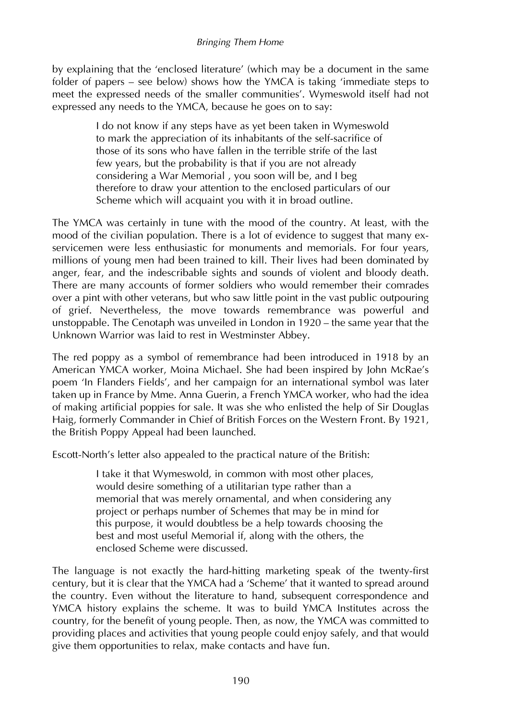#### *Bringing Them Home*

by explaining that the 'enclosed literature' (which may be a document in the same folder of papers – see below) shows how the YMCA is taking 'immediate steps to meet the expressed needs of the smaller communities'. Wymeswold itself had not expressed any needs to the YMCA, because he goes on to say:

> I do not know if any steps have as yet been taken in Wymeswold to mark the appreciation of its inhabitants of the self-sacrifice of those of its sons who have fallen in the terrible strife of the last few years, but the probability is that if you are not already considering a War Memorial , you soon will be, and I beg therefore to draw your attention to the enclosed particulars of our Scheme which will acquaint you with it in broad outline.

The YMCA was certainly in tune with the mood of the country. At least, with the mood of the civilian population. There is a lot of evidence to suggest that many exservicemen were less enthusiastic for monuments and memorials. For four years, millions of young men had been trained to kill. Their lives had been dominated by anger, fear, and the indescribable sights and sounds of violent and bloody death. There are many accounts of former soldiers who would remember their comrades over a pint with other veterans, but who saw little point in the vast public outpouring of grief. Nevertheless, the move towards remembrance was powerful and unstoppable. The Cenotaph was unveiled in London in 1920 – the same year that the Unknown Warrior was laid to rest in Westminster Abbey.

The red poppy as a symbol of remembrance had been introduced in 1918 by an American YMCA worker, Moina Michael. She had been inspired by John McRae's poem 'In Flanders Fields', and her campaign for an international symbol was later taken up in France by Mme. Anna Guerin, a French YMCA worker, who had the idea of making artificial poppies for sale. It was she who enlisted the help of Sir Douglas Haig, formerly Commander in Chief of British Forces on the Western Front. By 1921, the British Poppy Appeal had been launched.

Escott-North's letter also appealed to the practical nature of the British:

I take it that Wymeswold, in common with most other places, would desire something of a utilitarian type rather than a memorial that was merely ornamental, and when considering any project or perhaps number of Schemes that may be in mind for this purpose, it would doubtless be a help towards choosing the best and most useful Memorial if, along with the others, the enclosed Scheme were discussed.

The language is not exactly the hard-hitting marketing speak of the twenty-first century, but it is clear that the YMCA had a 'Scheme' that it wanted to spread around the country. Even without the literature to hand, subsequent correspondence and YMCA history explains the scheme. It was to build YMCA Institutes across the country, for the benefit of young people. Then, as now, the YMCA was committed to providing places and activities that young people could enjoy safely, and that would give them opportunities to relax, make contacts and have fun.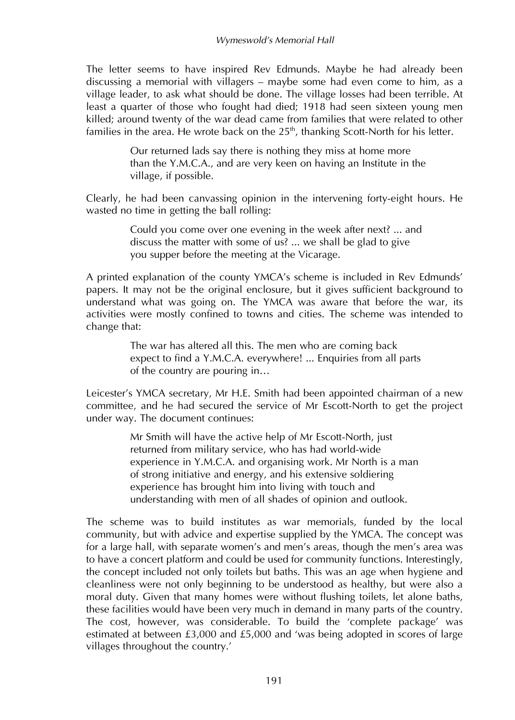The letter seems to have inspired Rev Edmunds. Maybe he had already been discussing a memorial with villagers – maybe some had even come to him, as a village leader, to ask what should be done. The village losses had been terrible. At least a quarter of those who fought had died; 1918 had seen sixteen young men killed; around twenty of the war dead came from families that were related to other families in the area. He wrote back on the  $25<sup>th</sup>$ , thanking Scott-North for his letter.

> Our returned lads say there is nothing they miss at home more than the Y.M.C.A., and are very keen on having an Institute in the village, if possible.

Clearly, he had been canvassing opinion in the intervening forty-eight hours. He wasted no time in getting the ball rolling:

> Could you come over one evening in the week after next? ... and discuss the matter with some of us? ... we shall be glad to give you supper before the meeting at the Vicarage.

A printed explanation of the county YMCA's scheme is included in Rev Edmunds' papers. It may not be the original enclosure, but it gives sufficient background to understand what was going on. The YMCA was aware that before the war, its activities were mostly confined to towns and cities. The scheme was intended to change that:

> The war has altered all this. The men who are coming back expect to find a Y.M.C.A. everywhere! ... Enquiries from all parts of the country are pouring in…

Leicester's YMCA secretary, Mr H.E. Smith had been appointed chairman of a new committee, and he had secured the service of Mr Escott-North to get the project under way. The document continues:

> Mr Smith will have the active help of Mr Escott-North, just returned from military service, who has had world-wide experience in Y.M.C.A. and organising work. Mr North is a man of strong initiative and energy, and his extensive soldiering experience has brought him into living with touch and understanding with men of all shades of opinion and outlook.

The scheme was to build institutes as war memorials, funded by the local community, but with advice and expertise supplied by the YMCA. The concept was for a large hall, with separate women's and men's areas, though the men's area was to have a concert platform and could be used for community functions. Interestingly, the concept included not only toilets but baths. This was an age when hygiene and cleanliness were not only beginning to be understood as healthy, but were also a moral duty. Given that many homes were without flushing toilets, let alone baths, these facilities would have been very much in demand in many parts of the country. The cost, however, was considerable. To build the 'complete package' was estimated at between £3,000 and £5,000 and 'was being adopted in scores of large villages throughout the country.'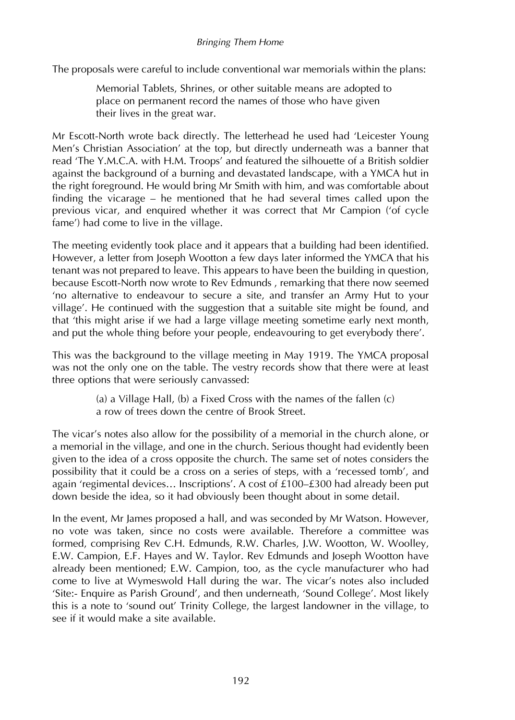#### *Bringing Them Home*

The proposals were careful to include conventional war memorials within the plans:

Memorial Tablets, Shrines, or other suitable means are adopted to place on permanent record the names of those who have given their lives in the great war.

Mr Escott-North wrote back directly. The letterhead he used had 'Leicester Young Men's Christian Association' at the top, but directly underneath was a banner that read 'The Y.M.C.A. with H.M. Troops' and featured the silhouette of a British soldier against the background of a burning and devastated landscape, with a YMCA hut in the right foreground. He would bring Mr Smith with him, and was comfortable about finding the vicarage – he mentioned that he had several times called upon the previous vicar, and enquired whether it was correct that Mr Campion ('of cycle fame') had come to live in the village.

The meeting evidently took place and it appears that a building had been identified. However, a letter from Joseph Wootton a few days later informed the YMCA that his tenant was not prepared to leave. This appears to have been the building in question, because Escott-North now wrote to Rev Edmunds , remarking that there now seemed 'no alternative to endeavour to secure a site, and transfer an Army Hut to your village'. He continued with the suggestion that a suitable site might be found, and that 'this might arise if we had a large village meeting sometime early next month, and put the whole thing before your people, endeavouring to get everybody there'.

This was the background to the village meeting in May 1919. The YMCA proposal was not the only one on the table. The vestry records show that there were at least three options that were seriously canvassed:

> (a) a Village Hall, (b) a Fixed Cross with the names of the fallen (c) a row of trees down the centre of Brook Street.

The vicar's notes also allow for the possibility of a memorial in the church alone, or a memorial in the village, and one in the church. Serious thought had evidently been given to the idea of a cross opposite the church. The same set of notes considers the possibility that it could be a cross on a series of steps, with a 'recessed tomb', and again 'regimental devices… Inscriptions'. A cost of £100–£300 had already been put down beside the idea, so it had obviously been thought about in some detail.

In the event, Mr James proposed a hall, and was seconded by Mr Watson. However, no vote was taken, since no costs were available. Therefore a committee was formed, comprising Rev C.H. Edmunds, R.W. Charles, J.W. Wootton, W. Woolley, E.W. Campion, E.F. Hayes and W. Taylor. Rev Edmunds and Joseph Wootton have already been mentioned; E.W. Campion, too, as the cycle manufacturer who had come to live at Wymeswold Hall during the war. The vicar's notes also included 'Site:- Enquire as Parish Ground', and then underneath, 'Sound College'. Most likely this is a note to 'sound out' Trinity College, the largest landowner in the village, to see if it would make a site available.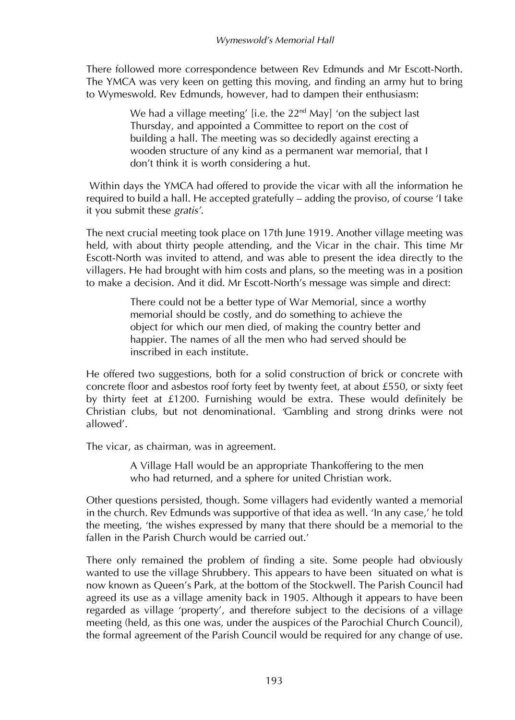There followed more correspondence between Rev Edmunds and Mr Escott-North. The YMCA was very keen on getting this moving, and finding an army hut to bring to Wymeswold. Rev Edmunds, however, had to dampen their enthusiasm:

> We had a village meeting' [i.e. the  $22<sup>nd</sup>$  May] 'on the subject last Thursday, and appointed a Committee to report on the cost of building a hall. The meeting was so decidedly against erecting a wooden structure of any kind as a permanent war memorial, that I don't think it is worth considering a hut.

Within days the YMCA had offered to provide the vicar with all the information he required to build a hall. He accepted gratefully – adding the proviso, of course 'I take it you submit these *gratis'*.

The next crucial meeting took place on 17th June 1919. Another village meeting was held, with about thirty people attending, and the Vicar in the chair. This time Mr Escott-North was invited to attend, and was able to present the idea directly to the villagers. He had brought with him costs and plans, so the meeting was in a position to make a decision. And it did. Mr Escott-North's message was simple and direct:

> There could not be a better type of War Memorial, since a worthy memorial should be costly, and do something to achieve the object for which our men died, of making the country better and happier. The names of all the men who had served should be inscribed in each institute.

He offered two suggestions, both for a solid construction of brick or concrete with concrete floor and asbestos roof forty feet by twenty feet, at about £550, or sixty feet by thirty feet at £1200. Furnishing would be extra. These would definitely be Christian clubs, but not denominational. *'*Gambling and strong drinks were not allowed'*.* 

The vicar, as chairman, was in agreement.

A Village Hall would be an appropriate Thankoffering to the men who had returned, and a sphere for united Christian work.

Other questions persisted, though. Some villagers had evidently wanted a memorial in the church. Rev Edmunds was supportive of that idea as well. 'In any case,' he told the meeting, 'the wishes expressed by many that there should be a memorial to the fallen in the Parish Church would be carried out.'

There only remained the problem of finding a site. Some people had obviously wanted to use the village Shrubbery. This appears to have been situated on what is now known as Queen's Park, at the bottom of the Stockwell. The Parish Council had agreed its use as a village amenity back in 1905. Although it appears to have been regarded as village 'property', and therefore subject to the decisions of a village meeting (held, as this one was, under the auspices of the Parochial Church Council), the formal agreement of the Parish Council would be required for any change of use.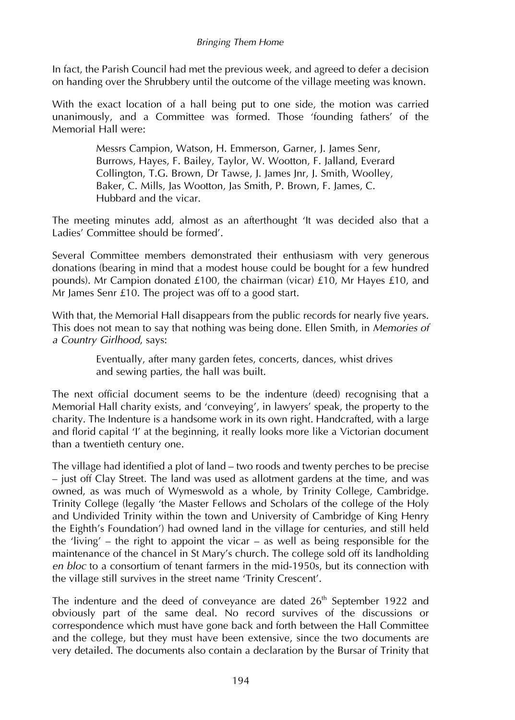In fact, the Parish Council had met the previous week, and agreed to defer a decision on handing over the Shrubbery until the outcome of the village meeting was known.

With the exact location of a hall being put to one side, the motion was carried unanimously, and a Committee was formed. Those 'founding fathers' of the Memorial Hall were:

> Messrs Campion, Watson, H. Emmerson, Garner, J. James Senr, Burrows, Hayes, F. Bailey, Taylor, W. Wootton, F. Jalland, Everard Collington, T.G. Brown, Dr Tawse, J. James Jnr, J. Smith, Woolley, Baker, C. Mills, Jas Wootton, Jas Smith, P. Brown, F. James, C. Hubbard and the vicar.

The meeting minutes add, almost as an afterthought 'It was decided also that a Ladies' Committee should be formed'.

Several Committee members demonstrated their enthusiasm with very generous donations (bearing in mind that a modest house could be bought for a few hundred pounds). Mr Campion donated £100, the chairman (vicar) £10, Mr Hayes £10, and Mr James Senr £10. The project was off to a good start.

With that, the Memorial Hall disappears from the public records for nearly five years. This does not mean to say that nothing was being done. Ellen Smith, in *Memories of a Country Girlhood*, says:

> Eventually, after many garden fetes, concerts, dances, whist drives and sewing parties, the hall was built.

The next official document seems to be the indenture (deed) recognising that a Memorial Hall charity exists, and 'conveying', in lawyers' speak, the property to the charity. The Indenture is a handsome work in its own right. Handcrafted, with a large and florid capital 'I' at the beginning, it really looks more like a Victorian document than a twentieth century one.

The village had identified a plot of land – two roods and twenty perches to be precise – just off Clay Street. The land was used as allotment gardens at the time, and was owned, as was much of Wymeswold as a whole, by Trinity College, Cambridge. Trinity College (legally 'the Master Fellows and Scholars of the college of the Holy and Undivided Trinity within the town and University of Cambridge of King Henry the Eighth's Foundation') had owned land in the village for centuries, and still held the 'living' – the right to appoint the vicar – as well as being responsible for the maintenance of the chancel in St Mary's church. The college sold off its landholding *en bloc* to a consortium of tenant farmers in the mid-1950s, but its connection with the village still survives in the street name 'Trinity Crescent'.

The indenture and the deed of conveyance are dated  $26<sup>th</sup>$  September 1922 and obviously part of the same deal. No record survives of the discussions or correspondence which must have gone back and forth between the Hall Committee and the college, but they must have been extensive, since the two documents are very detailed. The documents also contain a declaration by the Bursar of Trinity that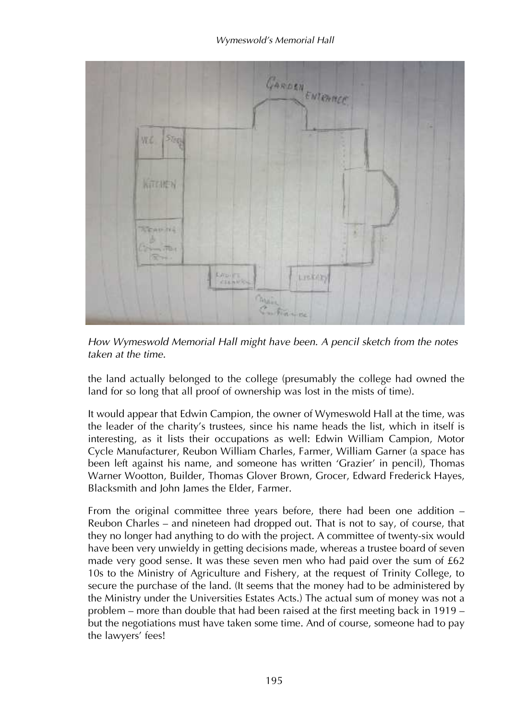

*How Wymeswold Memorial Hall might have been. A pencil sketch from the notes taken at the time.*

the land actually belonged to the college (presumably the college had owned the land for so long that all proof of ownership was lost in the mists of time).

It would appear that Edwin Campion, the owner of Wymeswold Hall at the time, was the leader of the charity's trustees, since his name heads the list, which in itself is interesting, as it lists their occupations as well: Edwin William Campion, Motor Cycle Manufacturer, Reubon William Charles, Farmer, William Garner (a space has been left against his name, and someone has written 'Grazier' in pencil), Thomas Warner Wootton, Builder, Thomas Glover Brown, Grocer, Edward Frederick Hayes, Blacksmith and John James the Elder, Farmer.

From the original committee three years before, there had been one addition – Reubon Charles – and nineteen had dropped out. That is not to say, of course, that they no longer had anything to do with the project. A committee of twenty-six would have been very unwieldy in getting decisions made, whereas a trustee board of seven made very good sense. It was these seven men who had paid over the sum of  $£62$ 10s to the Ministry of Agriculture and Fishery, at the request of Trinity College, to secure the purchase of the land. (It seems that the money had to be administered by the Ministry under the Universities Estates Acts.) The actual sum of money was not a problem – more than double that had been raised at the first meeting back in 1919 – but the negotiations must have taken some time. And of course, someone had to pay the lawyers' fees!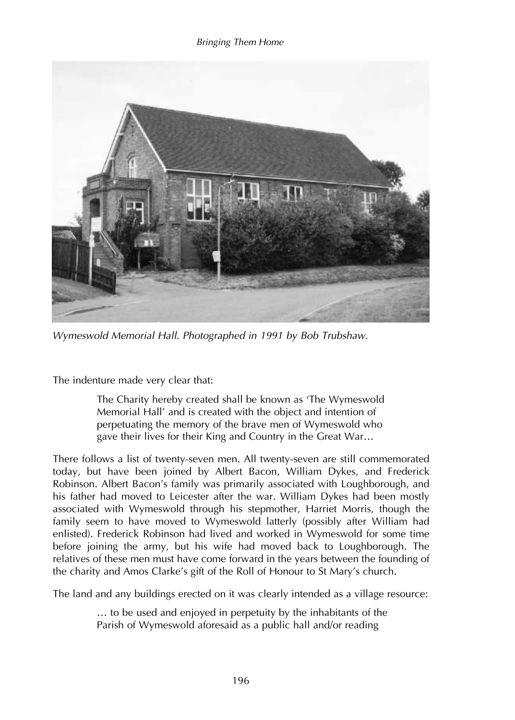### *Bringing Them Home*



*Wymeswold Memorial Hall. Photographed in 1991 by Bob Trubshaw.*

The indenture made very clear that:

The Charity hereby created shall be known as 'The Wymeswold Memorial Hall' and is created with the object and intention of perpetuating the memory of the brave men of Wymeswold who gave their lives for their King and Country in the Great War…

There follows a list of twenty-seven men. All twenty-seven are still commemorated today, but have been joined by Albert Bacon, William Dykes, and Frederick Robinson. Albert Bacon's family was primarily associated with Loughborough, and his father had moved to Leicester after the war. William Dykes had been mostly associated with Wymeswold through his stepmother, Harriet Morris, though the family seem to have moved to Wymeswold latterly (possibly after William had enlisted). Frederick Robinson had lived and worked in Wymeswold for some time before joining the army, but his wife had moved back to Loughborough. The relatives of these men must have come forward in the years between the founding of the charity and Amos Clarke's gift of the Roll of Honour to St Mary's church.

The land and any buildings erected on it was clearly intended as a village resource:

… to be used and enjoyed in perpetuity by the inhabitants of the Parish of Wymeswold aforesaid as a public hall and/or reading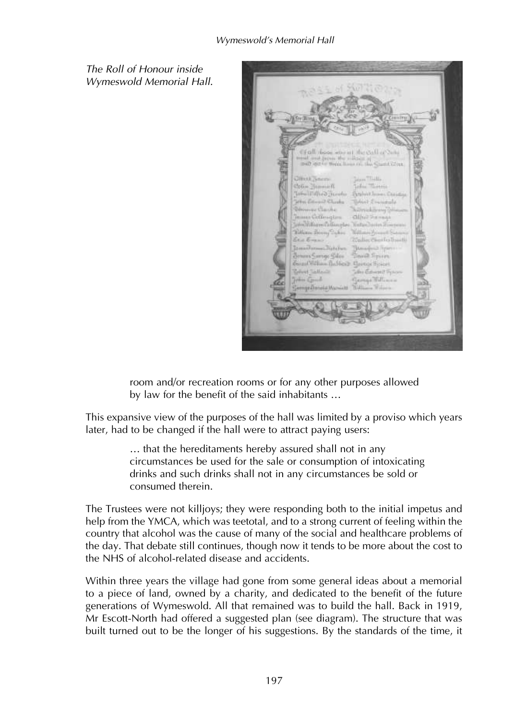*The Roll of Honour inside Wymeswold Memorial Hall.*



room and/or recreation rooms or for any other purposes allowed by law for the benefit of the said inhabitants …

This expansive view of the purposes of the hall was limited by a proviso which years later, had to be changed if the hall were to attract paying users:

> … that the hereditaments hereby assured shall not in any circumstances be used for the sale or consumption of intoxicating drinks and such drinks shall not in any circumstances be sold or consumed therein.

The Trustees were not killjoys; they were responding both to the initial impetus and help from the YMCA, which was teetotal, and to a strong current of feeling within the country that alcohol was the cause of many of the social and healthcare problems of the day. That debate still continues, though now it tends to be more about the cost to the NHS of alcohol-related disease and accidents.

Within three years the village had gone from some general ideas about a memorial to a piece of land, owned by a charity, and dedicated to the benefit of the future generations of Wymeswold. All that remained was to build the hall. Back in 1919, Mr Escott-North had offered a suggested plan (see diagram). The structure that was built turned out to be the longer of his suggestions. By the standards of the time, it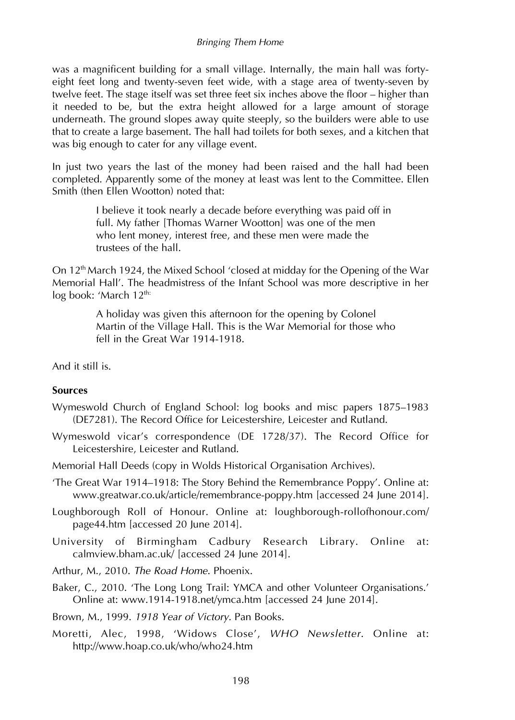was a magnificent building for a small village. Internally, the main hall was fortyeight feet long and twenty-seven feet wide, with a stage area of twenty-seven by twelve feet. The stage itself was set three feet six inches above the floor – higher than it needed to be, but the extra height allowed for a large amount of storage underneath. The ground slopes away quite steeply, so the builders were able to use that to create a large basement. The hall had toilets for both sexes, and a kitchen that was big enough to cater for any village event.

In just two years the last of the money had been raised and the hall had been completed. Apparently some of the money at least was lent to the Committee. Ellen Smith (then Ellen Wootton) noted that:

> I believe it took nearly a decade before everything was paid off in full. My father [Thomas Warner Wootton] was one of the men who lent money, interest free, and these men were made the trustees of the hall.

On 12<sup>th</sup> March 1924, the Mixed School 'closed at midday for the Opening of the War Memorial Hall'. The headmistress of the Infant School was more descriptive in her log book: 'March 12<sup>th:</sup>

> A holiday was given this afternoon for the opening by Colonel Martin of the Village Hall. This is the War Memorial for those who fell in the Great War 1914-1918.

And it still is.

## **Sources**

- Wymeswold Church of England School: log books and misc papers 1875–1983 (DE7281). The Record Office for Leicestershire, Leicester and Rutland.
- Wymeswold vicar's correspondence (DE 1728/37). The Record Office for Leicestershire, Leicester and Rutland.
- Memorial Hall Deeds (copy in Wolds Historical Organisation Archives).
- 'The Great War 1914–1918: The Story Behind the Remembrance Poppy'. Online at: www.greatwar.co.uk/article/remembrance-poppy.htm [accessed 24 June 2014].
- Loughborough Roll of Honour. Online at: loughborough-rollofhonour.com/ page44.htm [accessed 20 June 2014].
- University of Birmingham Cadbury Research Library. Online at: calmview.bham.ac.uk/ [accessed 24 June 2014].
- Arthur, M., 2010. *The Road Home*. Phoenix.
- Baker, C., 2010. 'The Long Long Trail: YMCA and other Volunteer Organisations.' Online at: www.1914-1918.net/ymca.htm [accessed 24 June 2014].

Brown, M., 1999. *1918 Year of Victory.* Pan Books.

Moretti, Alec, 1998, 'Widows Close', *WHO Newsletter*. Online at: http://www.hoap.co.uk/who/who24.htm